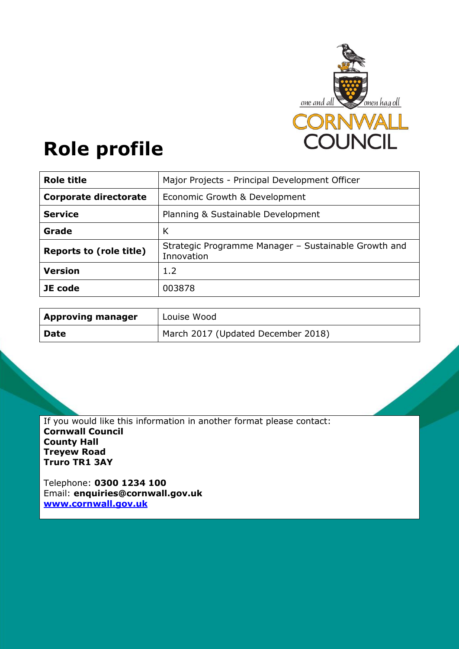

# **Role profile**

| <b>Role title</b>              | Major Projects - Principal Development Officer                     |  |
|--------------------------------|--------------------------------------------------------------------|--|
| <b>Corporate directorate</b>   | Economic Growth & Development                                      |  |
| <b>Service</b>                 | Planning & Sustainable Development                                 |  |
| Grade                          | К                                                                  |  |
| <b>Reports to (role title)</b> | Strategic Programme Manager - Sustainable Growth and<br>Innovation |  |
| <b>Version</b>                 | 1.2                                                                |  |
| JE code                        | 003878                                                             |  |

| <b>Approving manager</b> | Louise Wood                        |
|--------------------------|------------------------------------|
| <b>Date</b>              | March 2017 (Updated December 2018) |

If you would like this information in another format please contact: **Cornwall Council County Hall Treyew Road Truro TR1 3AY**

Telephone: **0300 1234 100** Email: **[enquiries@cornwall.gov.uk](mailto:enquiries@cornwall.gov.uk) [www.cornwall.gov.uk](http://www.cornwall.gov.uk/)**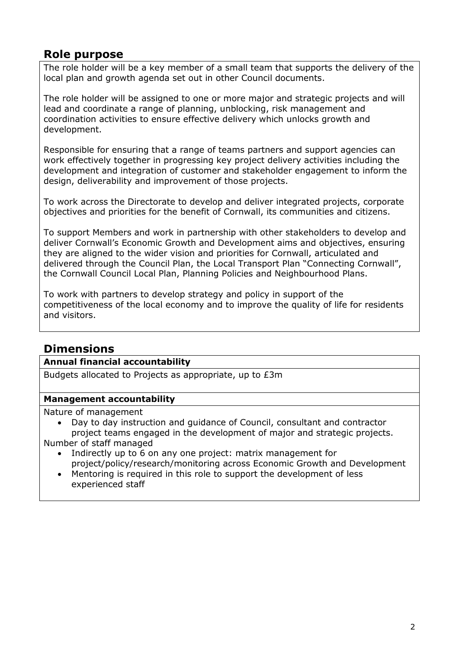## **Role purpose**

The role holder will be a key member of a small team that supports the delivery of the local plan and growth agenda set out in other Council documents.

The role holder will be assigned to one or more major and strategic projects and will lead and coordinate a range of planning, unblocking, risk management and coordination activities to ensure effective delivery which unlocks growth and development.

Responsible for ensuring that a range of teams partners and support agencies can work effectively together in progressing key project delivery activities including the development and integration of customer and stakeholder engagement to inform the design, deliverability and improvement of those projects.

To work across the Directorate to develop and deliver integrated projects, corporate objectives and priorities for the benefit of Cornwall, its communities and citizens.

To support Members and work in partnership with other stakeholders to develop and deliver Cornwall's Economic Growth and Development aims and objectives, ensuring they are aligned to the wider vision and priorities for Cornwall, articulated and delivered through the Council Plan, the Local Transport Plan "Connecting Cornwall", the Cornwall Council Local Plan, Planning Policies and Neighbourhood Plans.

To work with partners to develop strategy and policy in support of the competitiveness of the local economy and to improve the quality of life for residents and visitors.

# **Dimensions**

#### **Annual financial accountability**

Budgets allocated to Projects as appropriate, up to £3m

#### **Management accountability**

Nature of management

 Day to day instruction and guidance of Council, consultant and contractor project teams engaged in the development of major and strategic projects.

Number of staff managed

- Indirectly up to 6 on any one project: matrix management for project/policy/research/monitoring across Economic Growth and Development
- Mentoring is required in this role to support the development of less experienced staff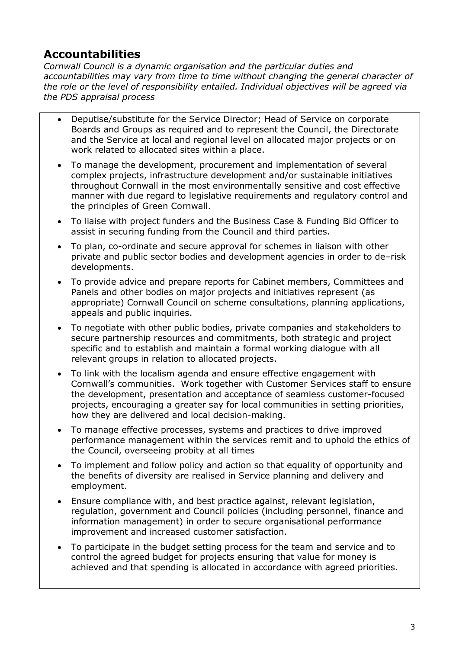# **Accountabilities**

*Cornwall Council is a dynamic organisation and the particular duties and accountabilities may vary from time to time without changing the general character of the role or the level of responsibility entailed. Individual objectives will be agreed via the PDS appraisal process* 

- Deputise/substitute for the Service Director; Head of Service on corporate Boards and Groups as required and to represent the Council, the Directorate and the Service at local and regional level on allocated major projects or on work related to allocated sites within a place.
- To manage the development, procurement and implementation of several complex projects, infrastructure development and/or sustainable initiatives throughout Cornwall in the most environmentally sensitive and cost effective manner with due regard to legislative requirements and regulatory control and the principles of Green Cornwall.
- To liaise with project funders and the Business Case & Funding Bid Officer to assist in securing funding from the Council and third parties.
- To plan, co-ordinate and secure approval for schemes in liaison with other private and public sector bodies and development agencies in order to de–risk developments.
- To provide advice and prepare reports for Cabinet members, Committees and Panels and other bodies on major projects and initiatives represent (as appropriate) Cornwall Council on scheme consultations, planning applications, appeals and public inquiries.
- To negotiate with other public bodies, private companies and stakeholders to secure partnership resources and commitments, both strategic and project specific and to establish and maintain a formal working dialogue with all relevant groups in relation to allocated projects.
- To link with the localism agenda and ensure effective engagement with Cornwall's communities. Work together with Customer Services staff to ensure the development, presentation and acceptance of seamless customer-focused projects, encouraging a greater say for local communities in setting priorities, how they are delivered and local decision-making.
- To manage effective processes, systems and practices to drive improved performance management within the services remit and to uphold the ethics of the Council, overseeing probity at all times
- To implement and follow policy and action so that equality of opportunity and the benefits of diversity are realised in Service planning and delivery and employment.
- Ensure compliance with, and best practice against, relevant legislation, regulation, government and Council policies (including personnel, finance and information management) in order to secure organisational performance improvement and increased customer satisfaction.
- To participate in the budget setting process for the team and service and to control the agreed budget for projects ensuring that value for money is achieved and that spending is allocated in accordance with agreed priorities.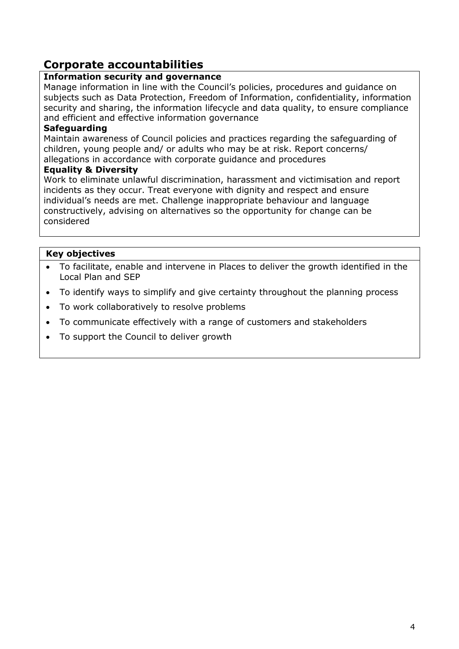## **Corporate accountabilities**

### **Information security and governance**

Manage information in line with the Council's policies, procedures and guidance on subjects such as Data Protection, Freedom of Information, confidentiality, information security and sharing, the information lifecycle and data quality, to ensure compliance and efficient and effective information governance

### **Safeguarding**

Maintain awareness of Council policies and practices regarding the safeguarding of children, young people and/ or adults who may be at risk. Report concerns/ allegations in accordance with corporate guidance and procedures

#### **Equality & Diversity**

Work to eliminate unlawful discrimination, harassment and victimisation and report incidents as they occur. Treat everyone with dignity and respect and ensure individual's needs are met. Challenge inappropriate behaviour and language constructively, advising on alternatives so the opportunity for change can be considered

### **Key objectives**

- To facilitate, enable and intervene in Places to deliver the growth identified in the Local Plan and SEP
- To identify ways to simplify and give certainty throughout the planning process
- To work collaboratively to resolve problems
- To communicate effectively with a range of customers and stakeholders
- To support the Council to deliver growth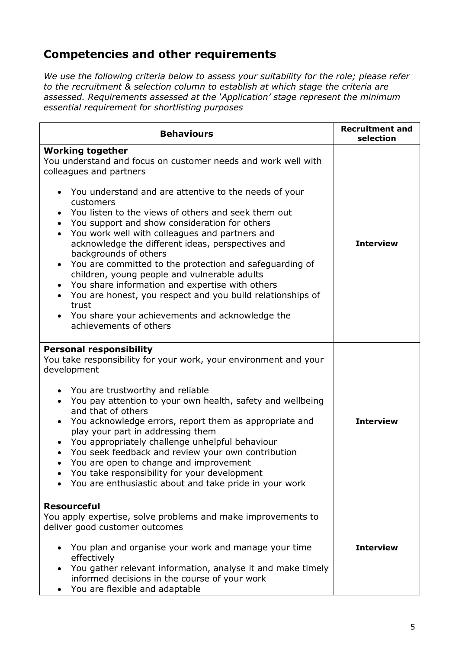# **Competencies and other requirements**

*We use the following criteria below to assess your suitability for the role; please refer to the recruitment & selection column to establish at which stage the criteria are assessed. Requirements assessed at the 'Application' stage represent the minimum essential requirement for shortlisting purposes*

| <b>Behaviours</b>                                                                                                                                                                                                                                                                                                                                                                                                                                                                                                                                                                                                                                                                                                                                                                                                                 | <b>Recruitment and</b><br>selection |
|-----------------------------------------------------------------------------------------------------------------------------------------------------------------------------------------------------------------------------------------------------------------------------------------------------------------------------------------------------------------------------------------------------------------------------------------------------------------------------------------------------------------------------------------------------------------------------------------------------------------------------------------------------------------------------------------------------------------------------------------------------------------------------------------------------------------------------------|-------------------------------------|
| <b>Working together</b><br>You understand and focus on customer needs and work well with<br>colleagues and partners<br>You understand and are attentive to the needs of your<br>$\bullet$<br>customers<br>You listen to the views of others and seek them out<br>$\bullet$<br>You support and show consideration for others<br>$\bullet$<br>You work well with colleagues and partners and<br>acknowledge the different ideas, perspectives and<br>backgrounds of others<br>You are committed to the protection and safeguarding of<br>$\bullet$<br>children, young people and vulnerable adults<br>You share information and expertise with others<br>$\bullet$<br>You are honest, you respect and you build relationships of<br>$\bullet$<br>trust<br>You share your achievements and acknowledge the<br>achievements of others | <b>Interview</b>                    |
| <b>Personal responsibility</b><br>You take responsibility for your work, your environment and your<br>development<br>You are trustworthy and reliable<br>You pay attention to your own health, safety and wellbeing<br>$\bullet$<br>and that of others<br>You acknowledge errors, report them as appropriate and<br>play your part in addressing them<br>You appropriately challenge unhelpful behaviour<br>$\bullet$<br>You seek feedback and review your own contribution<br>$\bullet$<br>You are open to change and improvement<br>$\bullet$<br>You take responsibility for your development<br>You are enthusiastic about and take pride in your work                                                                                                                                                                         | <b>Interview</b>                    |
| <b>Resourceful</b><br>You apply expertise, solve problems and make improvements to<br>deliver good customer outcomes<br>You plan and organise your work and manage your time<br>effectively<br>You gather relevant information, analyse it and make timely<br>informed decisions in the course of your work<br>You are flexible and adaptable                                                                                                                                                                                                                                                                                                                                                                                                                                                                                     | <b>Interview</b>                    |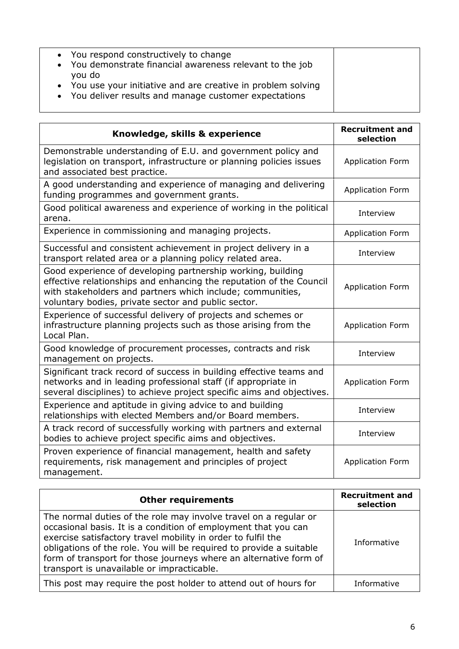| • You respond constructively to change                        |
|---------------------------------------------------------------|
| • You demonstrate financial awareness relevant to the job     |
| • You use your initiative and are creative in problem solving |
|                                                               |
| • You deliver results and manage customer expectations        |

| Knowledge, skills & experience                                                                                                                                                                                                                          | <b>Recruitment and</b><br>selection |
|---------------------------------------------------------------------------------------------------------------------------------------------------------------------------------------------------------------------------------------------------------|-------------------------------------|
| Demonstrable understanding of E.U. and government policy and<br>legislation on transport, infrastructure or planning policies issues<br>and associated best practice.                                                                                   | <b>Application Form</b>             |
| A good understanding and experience of managing and delivering<br>funding programmes and government grants.                                                                                                                                             | <b>Application Form</b>             |
| Good political awareness and experience of working in the political<br>arena.                                                                                                                                                                           | Interview                           |
| Experience in commissioning and managing projects.                                                                                                                                                                                                      | <b>Application Form</b>             |
| Successful and consistent achievement in project delivery in a<br>transport related area or a planning policy related area.                                                                                                                             | Interview                           |
| Good experience of developing partnership working, building<br>effective relationships and enhancing the reputation of the Council<br>with stakeholders and partners which include; communities,<br>voluntary bodies, private sector and public sector. | <b>Application Form</b>             |
| Experience of successful delivery of projects and schemes or<br>infrastructure planning projects such as those arising from the<br>Local Plan.                                                                                                          | <b>Application Form</b>             |
| Good knowledge of procurement processes, contracts and risk<br>management on projects.                                                                                                                                                                  | Interview                           |
| Significant track record of success in building effective teams and<br>networks and in leading professional staff (if appropriate in<br>several disciplines) to achieve project specific aims and objectives.                                           | <b>Application Form</b>             |
| Experience and aptitude in giving advice to and building<br>relationships with elected Members and/or Board members.                                                                                                                                    | Interview                           |
| A track record of successfully working with partners and external<br>bodies to achieve project specific aims and objectives.                                                                                                                            | Interview                           |
| Proven experience of financial management, health and safety<br>requirements, risk management and principles of project<br>management.                                                                                                                  | <b>Application Form</b>             |

| <b>Other requirements</b>                                                                                                                                                                                                                                                                                                                                                                    | <b>Recruitment and</b><br>selection |
|----------------------------------------------------------------------------------------------------------------------------------------------------------------------------------------------------------------------------------------------------------------------------------------------------------------------------------------------------------------------------------------------|-------------------------------------|
| The normal duties of the role may involve travel on a regular or<br>occasional basis. It is a condition of employment that you can<br>exercise satisfactory travel mobility in order to fulfil the<br>obligations of the role. You will be required to provide a suitable<br>form of transport for those journeys where an alternative form of<br>transport is unavailable or impracticable. | Informative                         |
| This post may require the post holder to attend out of hours for                                                                                                                                                                                                                                                                                                                             | Informative                         |